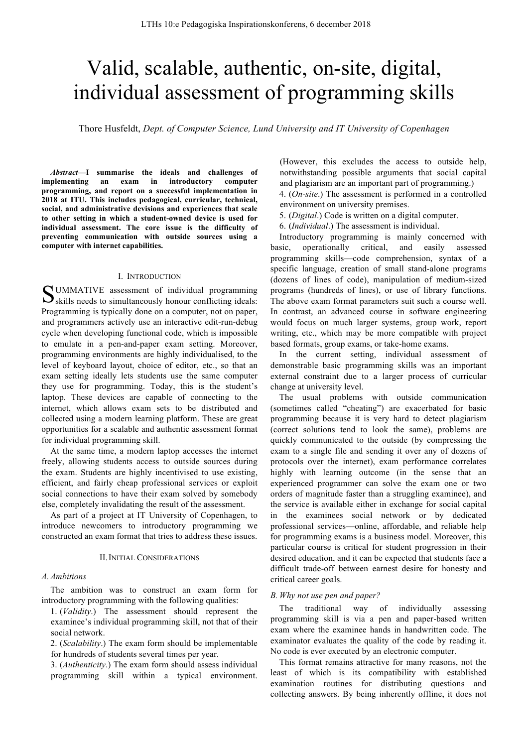# Valid, scalable, authentic, on-site, digital, individual assessment of programming skills

Thore Husfeldt, *Dept. of Computer Science, Lund University and IT University of Copenhagen*

*Abstract***—I summarise the ideals and challenges of implementing an exam in introductory computer programming, and report on a successful implementation in 2018 at ITU. This includes pedagogical, curricular, technical, social, and administrative devisions and experiences that scale to other setting in which a student-owned device is used for individual assessment. The core issue is the difficulty of preventing communication with outside sources using a computer with internet capabilities.**

#### I. INTRODUCTION

UMMATIVE assessment of individual programming SUMMATIVE assessment of individual programming Sskills needs to simultaneously honour conflicting ideals: Programming is typically done on a computer, not on paper, and programmers actively use an interactive edit-run-debug cycle when developing functional code, which is impossible to emulate in a pen-and-paper exam setting. Moreover, programming environments are highly individualised, to the level of keyboard layout, choice of editor, etc., so that an exam setting ideally lets students use the same computer they use for programming. Today, this is the student's laptop. These devices are capable of connecting to the internet, which allows exam sets to be distributed and collected using a modern learning platform. These are great opportunities for a scalable and authentic assessment format for individual programming skill.

At the same time, a modern laptop accesses the internet freely, allowing students access to outside sources during the exam. Students are highly incentivised to use existing, efficient, and fairly cheap professional services or exploit social connections to have their exam solved by somebody else, completely invalidating the result of the assessment.

As part of a project at IT University of Copenhagen, to introduce newcomers to introductory programming we constructed an exam format that tries to address these issues.

#### II.INITIAL CONSIDERATIONS

#### *A. Ambitions*

The ambition was to construct an exam form for introductory programming with the following qualities:

1. (*Validity*.) The assessment should represent the examinee's individual programming skill, not that of their social network.

2. (*Scalability*.) The exam form should be implementable for hundreds of students several times per year.

3. (*Authenticity*.) The exam form should assess individual programming skill within a typical environment.

(However, this excludes the access to outside help, notwithstanding possible arguments that social capital and plagiarism are an important part of programming.) 4. (*On-site*.) The assessment is performed in a controlled

environment on university premises.

5. (*Digital*.) Code is written on a digital computer.

6. (*Individual*.) The assessment is individual.

Introductory programming is mainly concerned with basic, operationally critical, and easily assessed programming skills—code comprehension, syntax of a specific language, creation of small stand-alone programs (dozens of lines of code), manipulation of medium-sized programs (hundreds of lines), or use of library functions. The above exam format parameters suit such a course well. In contrast, an advanced course in software engineering would focus on much larger systems, group work, report writing, etc., which may be more compatible with project based formats, group exams, or take-home exams.

In the current setting, individual assessment of demonstrable basic programming skills was an important external constraint due to a larger process of curricular change at university level.

The usual problems with outside communication (sometimes called "cheating") are exacerbated for basic programming because it is very hard to detect plagiarism (correct solutions tend to look the same), problems are quickly communicated to the outside (by compressing the exam to a single file and sending it over any of dozens of protocols over the internet), exam performance correlates highly with learning outcome (in the sense that an experienced programmer can solve the exam one or two orders of magnitude faster than a struggling examinee), and the service is available either in exchange for social capital in the examinees social network or by dedicated professional services—online, affordable, and reliable help for programming exams is a business model. Moreover, this particular course is critical for student progression in their desired education, and it can be expected that students face a difficult trade-off between earnest desire for honesty and critical career goals.

# *B. Why not use pen and paper?*

The traditional way of individually assessing programming skill is via a pen and paper-based written exam where the examinee hands in handwritten code. The examinator evaluates the quality of the code by reading it. No code is ever executed by an electronic computer.

This format remains attractive for many reasons, not the least of which is its compatibility with established examination routines for distributing questions and collecting answers. By being inherently offline, it does not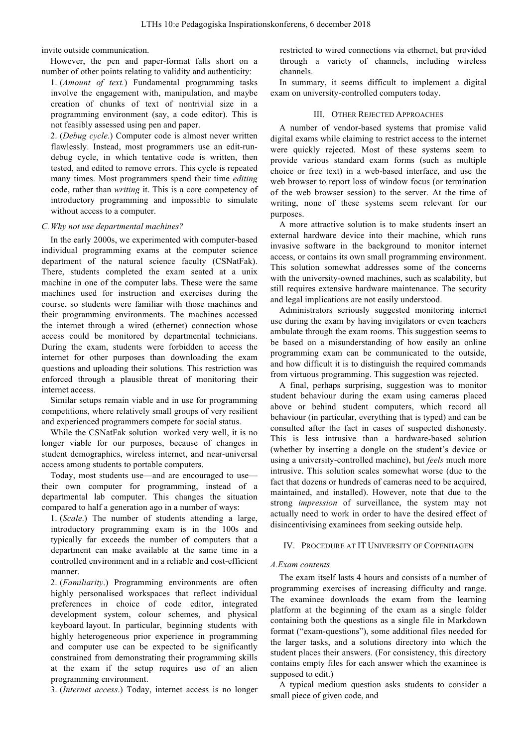invite outside communication.

However, the pen and paper-format falls short on a number of other points relating to validity and authenticity:

1. (*Amount of text.*) Fundamental programming tasks involve the engagement with, manipulation, and maybe creation of chunks of text of nontrivial size in a programming environment (say, a code editor). This is not feasibly assessed using pen and paper.

2. (*Debug cycle*.) Computer code is almost never written flawlessly. Instead, most programmers use an edit-rundebug cycle, in which tentative code is written, then tested, and edited to remove errors. This cycle is repeated many times. Most programmers spend their time *editing* code, rather than *writing* it. This is a core competency of introductory programming and impossible to simulate without access to a computer.

# *C.Why not use departmental machines?*

In the early 2000s, we experimented with computer-based individual programming exams at the computer science department of the natural science faculty (CSNatFak). There, students completed the exam seated at a unix machine in one of the computer labs. These were the same machines used for instruction and exercises during the course, so students were familiar with those machines and their programming environments. The machines accessed the internet through a wired (ethernet) connection whose access could be monitored by departmental technicians. During the exam, students were forbidden to access the internet for other purposes than downloading the exam questions and uploading their solutions. This restriction was enforced through a plausible threat of monitoring their internet access.

Similar setups remain viable and in use for programming competitions, where relatively small groups of very resilient and experienced programmers compete for social status.

While the CSNatFak solution worked very well, it is no longer viable for our purposes, because of changes in student demographics, wireless internet, and near-universal access among students to portable computers.

Today, most students use—and are encouraged to use their own computer for programming, instead of a departmental lab computer. This changes the situation compared to half a generation ago in a number of ways:

1. (*Scale*.) The number of students attending a large, introductory programming exam is in the 100s and typically far exceeds the number of computers that a department can make available at the same time in a controlled environment and in a reliable and cost-efficient manner.

2. (*Familiarity*.) Programming environments are often highly personalised workspaces that reflect individual preferences in choice of code editor, integrated development system, colour schemes, and physical keyboard layout. In particular, beginning students with highly heterogeneous prior experience in programming and computer use can be expected to be significantly constrained from demonstrating their programming skills at the exam if the setup requires use of an alien programming environment.

3. (*Internet access*.) Today, internet access is no longer

restricted to wired connections via ethernet, but provided through a variety of channels, including wireless channels.

In summary, it seems difficult to implement a digital exam on university-controlled computers today.

# III. OTHER REJECTED APPROACHES

A number of vendor-based systems that promise valid digital exams while claiming to restrict access to the internet were quickly rejected. Most of these systems seem to provide various standard exam forms (such as multiple choice or free text) in a web-based interface, and use the web browser to report loss of window focus (or termination of the web browser session) to the server. At the time of writing, none of these systems seem relevant for our purposes.

A more attractive solution is to make students insert an external hardware device into their machine, which runs invasive software in the background to monitor internet access, or contains its own small programming environment. This solution somewhat addresses some of the concerns with the university-owned machines, such as scalability, but still requires extensive hardware maintenance. The security and legal implications are not easily understood.

Administrators seriously suggested monitoring internet use during the exam by having invigilators or even teachers ambulate through the exam rooms. This suggestion seems to be based on a misunderstanding of how easily an online programming exam can be communicated to the outside, and how difficult it is to distinguish the required commands from virtuous programming. This suggestion was rejected.

A final, perhaps surprising, suggestion was to monitor student behaviour during the exam using cameras placed above or behind student computers, which record all behaviour (in particular, everything that is typed) and can be consulted after the fact in cases of suspected dishonesty. This is less intrusive than a hardware-based solution (whether by inserting a dongle on the student's device or using a university-controlled machine), but *feels* much more intrusive. This solution scales somewhat worse (due to the fact that dozens or hundreds of cameras need to be acquired, maintained, and installed). However, note that due to the strong *impression* of surveillance, the system may not actually need to work in order to have the desired effect of disincentivising examinees from seeking outside help.

#### IV. PROCEDURE AT IT UNIVERSITY OF COPENHAGEN

#### *A.Exam contents*

The exam itself lasts 4 hours and consists of a number of programming exercises of increasing difficulty and range. The examinee downloads the exam from the learning platform at the beginning of the exam as a single folder containing both the questions as a single file in Markdown format ("exam-questions"), some additional files needed for the larger tasks, and a solutions directory into which the student places their answers. (For consistency, this directory contains empty files for each answer which the examinee is supposed to edit.)

A typical medium question asks students to consider a small piece of given code, and